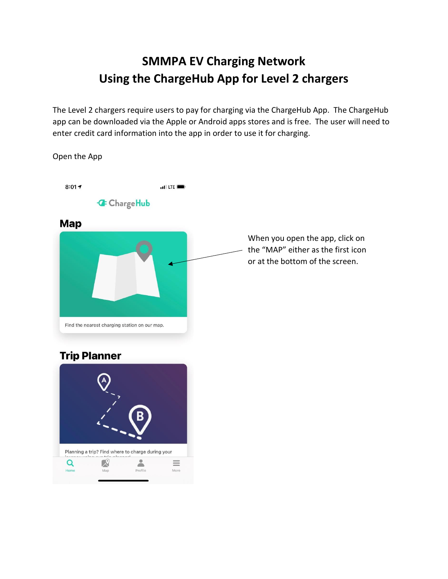## **SMMPA EV Charging Network Using the ChargeHub App for Level 2 chargers**

The Level 2 chargers require users to pay for charging via the ChargeHub App. The ChargeHub app can be downloaded via the Apple or Android apps stores and is free. The user will need to enter credit card information into the app in order to use it for charging.



## **Trip Planner**

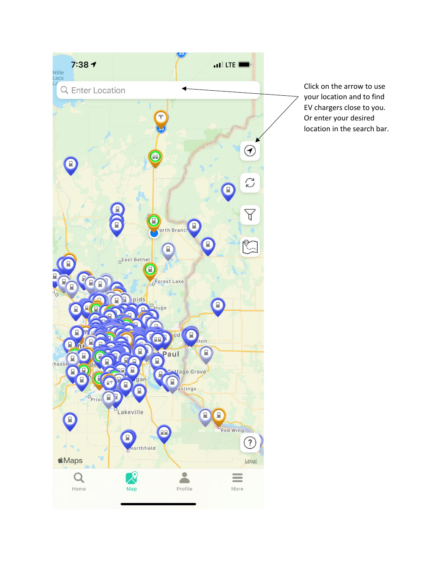

Click on the arrow to use your location and to find EV chargers close to you. Or enter your desired location in the search bar.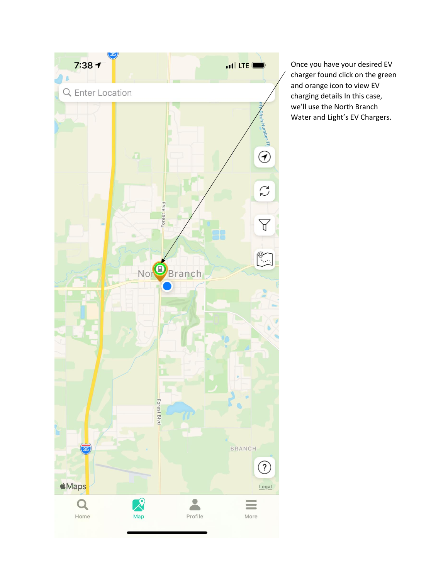

Once you have your desired EV charger found click on the green and orange icon to view EV charging details In this case, we'll use the North Branch Water and Light's EV Chargers.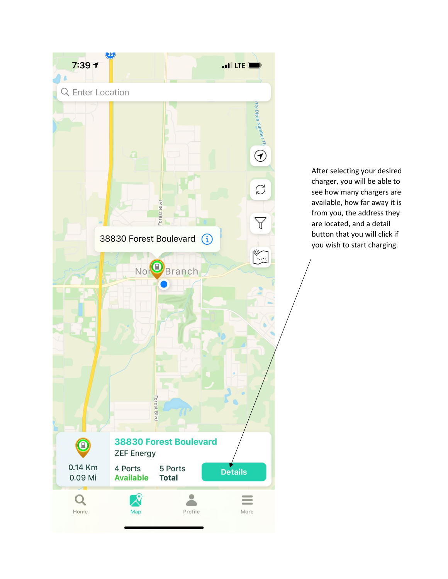

After selecting your desired charger, you will be able to see how many chargers are available, how far away it is from you, the address they are located, and a detail button that you will click if you wish to start charging.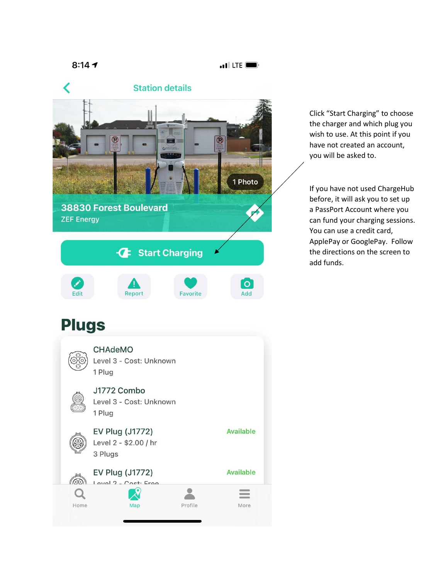```
8:147
```
 $\blacksquare$  LTE  $\blacksquare$ 



Click "Start Charging" to choose the charger and which plug you wish to use. At this point if you have not created an account, you will be asked to.

If you have not used ChargeHub before, it will ask you to set up a PassPort Account where you can fund your charging sessions. You can use a credit card, ApplePay or GooglePay. Follow the directions on the screen to add funds.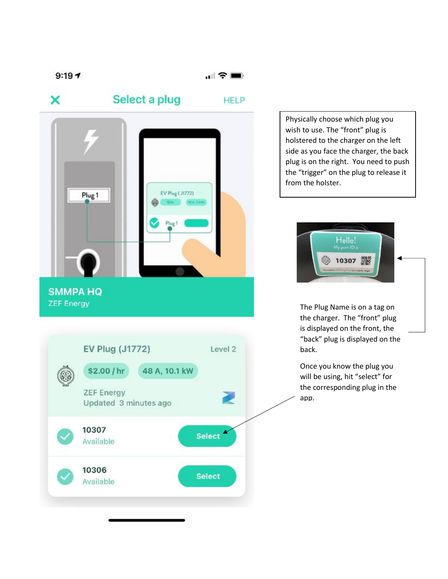$\mathbf{1} \mathbf{\hat{z}}$ 



Physically choose which plug you wish to use. The "front" plug is holstered to the charger on the left side as you face the charger, the back plug is on the right. You need to push the "trigger" on the plug to release it from the holster.



The Plug Name is on a tag on the charger. The "front" plug is displayed on the front, the "back" plug is displayed on the back.

Once you know the plug you will be using, hit "select" for the corresponding plug in the app.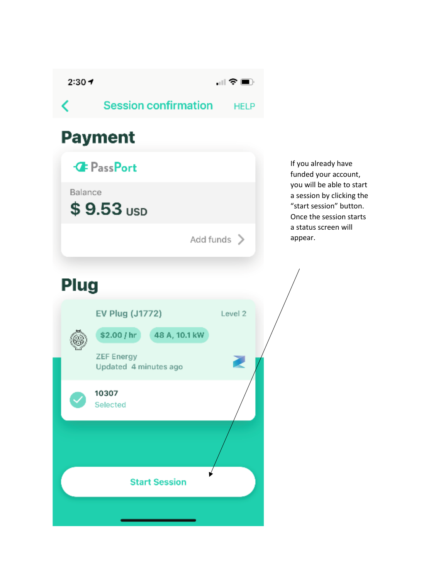$2:30 +$ 

 $\Box$   $\widehat{\mathcal{F}}$   $\blacksquare$ 

**Session confirmation HELP** 

## **Payment**



Add funds >

If you already have funded your account, you will be able to start a session by clicking the "start session" button. Once the session starts a status screen will appear.

## **Plug**